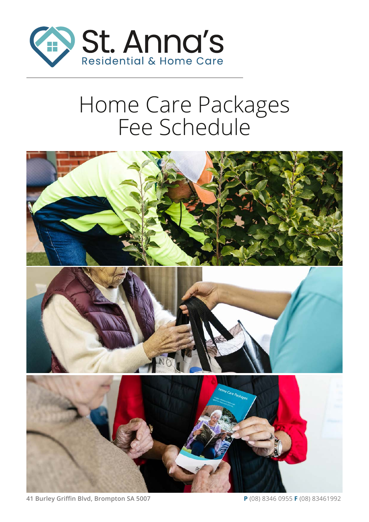

# Home Care Packages Fee Schedule



**41 Burley Griffin Blvd, Brompton SA 5007 P** (08) 8346 0955 **F** (08) 83461992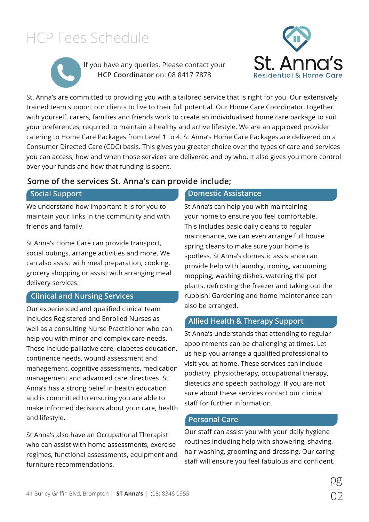

If you have any queries, Please contact your **HCP Coordinator** on: 08 8417 7878



St. Anna's are committed to providing you with a tailored service that is right for you. Our extensively trained team support our clients to live to their full potential. Our Home Care Coordinator, together with yourself, carers, families and friends work to create an individualised home care package to suit your preferences, required to maintain a healthy and active lifestyle. We are an approved provider catering to Home Care Packages from Level 1 to 4. St Anna's Home Care Packages are delivered on a Consumer Directed Care (CDC) basis. This gives you greater choice over the types of care and services you can access, how and when those services are delivered and by who. It also gives you more control over your funds and how that funding is spent.

#### **Some of the services St. Anna's can provide include;**

We understand how important it is for you to maintain your links in the community and with friends and family.

St Anna's Home Care can provide transport, social outings, arrange activities and more. We can also assist with meal preparation, cooking, grocery shopping or assist with arranging meal delivery services.

#### **Clinical and Nursing Services**

Our experienced and qualified clinical team includes Registered and Enrolled Nurses as well as a consulting Nurse Practitioner who can help you with minor and complex care needs. These include palliative care, diabetes education, continence needs, wound assessment and management, cognitive assessments, medication management and advanced care directives. St Anna's has a strong belief in health education and is committed to ensuring you are able to make informed decisions about your care, health and lifestyle.

St Anna's also have an Occupational Therapist who can assist with home assessments, exercise regimes, functional assessments, equipment and furniture recommendations.

#### **Social Support Domestic Assistance**

St Anna's can help you with maintaining your home to ensure you feel comfortable. This includes basic daily cleans to regular maintenance, we can even arrange full house spring cleans to make sure your home is spotless. St Anna's domestic assistance can provide help with laundry, ironing, vacuuming, mopping, washing dishes, watering the pot plants, defrosting the freezer and taking out the rubbish! Gardening and home maintenance can also be arranged.

#### **Allied Health & Therapy Support**

St Anna's understands that attending to regular appointments can be challenging at times. Let us help you arrange a qualified professional to visit you at home. These services can include podiatry, physiotherapy, occupational therapy, dietetics and speech pathology. If you are not sure about these services contact our clinical staff for further information.

#### **Personal Care**

Our staff can assist you with your daily hygiene routines including help with showering, shaving, hair washing, grooming and dressing. Our caring staff will ensure you feel fabulous and confident.

02

pg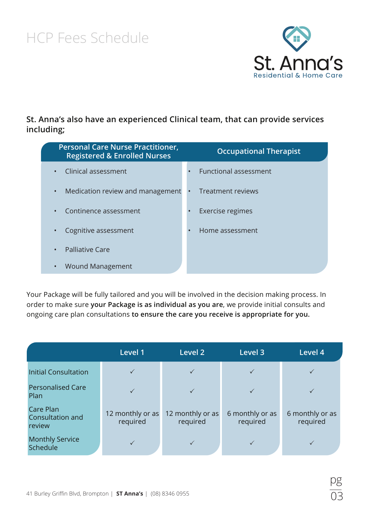

#### **St. Anna's also have an experienced Clinical team, that can provide services including;**

| <b>Personal Care Nurse Practitioner,</b><br><b>Registered &amp; Enrolled Nurses</b> | <b>Occupational Therapist</b> |
|-------------------------------------------------------------------------------------|-------------------------------|
| Clinical assessment                                                                 | <b>Functional assessment</b>  |
| Medication review and management                                                    | Treatment reviews             |
| Continence assessment                                                               | Exercise regimes              |
| Cognitive assessment                                                                | Home assessment               |
| <b>Palliative Care</b>                                                              |                               |
| Wound Management                                                                    |                               |

Your Package will be fully tailored and you will be involved in the decision making process. In order to make sure **your Package is as individual as you are**, we provide initial consults and ongoing care plan consultations **to ensure the care you receive is appropriate for you.**

|                                                | Level 1                      | Level 2                      | Level 3                     | Level 4                     |
|------------------------------------------------|------------------------------|------------------------------|-----------------------------|-----------------------------|
| <b>Initial Consultation</b>                    |                              |                              |                             |                             |
| <b>Personalised Care</b><br>Plan               |                              |                              |                             |                             |
| <b>Care Plan</b><br>Consultation and<br>review | 12 monthly or as<br>required | 12 monthly or as<br>required | 6 monthly or as<br>required | 6 monthly or as<br>required |
| <b>Monthly Service</b><br>Schedule             |                              |                              |                             |                             |

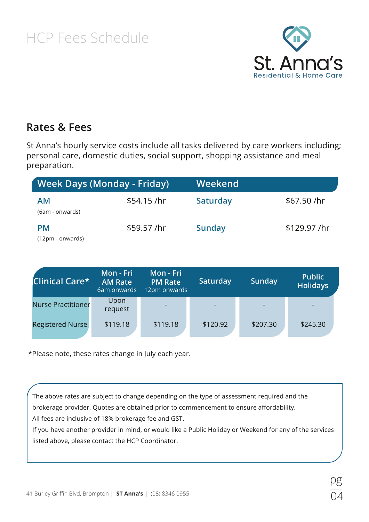

04

pg

#### **Rates & Fees**

St Anna's hourly service costs include all tasks delivered by care workers including; personal care, domestic duties, social support, shopping assistance and meal preparation.

| <b>Week Days (Monday - Friday)</b> |              | Weekend       |             |
|------------------------------------|--------------|---------------|-------------|
| <b>AM</b><br>(6am - onwards)       | $$54.15$ /hr | Saturday      | \$67.50/hr  |
| <b>PM</b><br>(12pm - onwards)      | \$59.57 /hr  | <b>Sunday</b> | \$129.97/hr |

| Clinical Care*            | Mon - Fri<br><b>AM Rate</b><br>6am onwards | Mon - Fri<br><b>PM Rate</b><br>12pm onwards | Saturday | Sunday   | <b>Public</b><br><b>Holidays</b> |
|---------------------------|--------------------------------------------|---------------------------------------------|----------|----------|----------------------------------|
| <b>Nurse Practitioner</b> | Upon<br>request                            |                                             |          |          |                                  |
| <b>Registered Nurse</b>   | \$119.18                                   | \$119.18                                    | \$120.92 | \$207.30 | \$245.30                         |

\*Please note, these rates change in July each year.

The above rates are subject to change depending on the type of assessment required and the brokerage provider. Quotes are obtained prior to commencement to ensure affordability. All fees are inclusive of 18% brokerage fee and GST.

If you have another provider in mind, or would like a Public Holiday or Weekend for any of the services listed above, please contact the HCP Coordinator.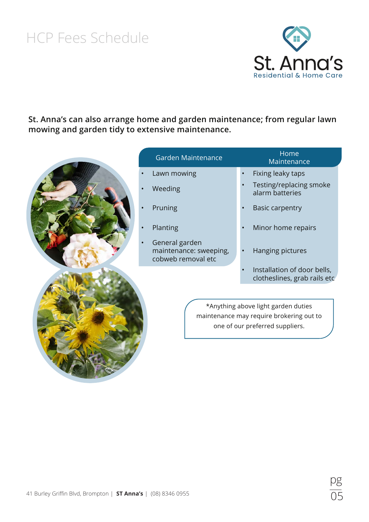

**St. Anna's can also arrange home and garden maintenance; from regular lawn mowing and garden tidy to extensive maintenance.**

| Garden Maintenance                                             | Home<br>Maintenance                                                                                                |
|----------------------------------------------------------------|--------------------------------------------------------------------------------------------------------------------|
| Lawn mowing                                                    | Fixing leaky taps                                                                                                  |
| Weeding                                                        | Testing/replacing smoke<br>alarm batteries                                                                         |
| Pruning                                                        | <b>Basic carpentry</b>                                                                                             |
| Planting                                                       | Minor home repairs                                                                                                 |
| General garden<br>maintenance: sweeping,<br>cobweb removal etc | Hanging pictures                                                                                                   |
|                                                                | Installation of door bells,<br>clotheslines, grab rails etc                                                        |
|                                                                | *Anything above light garden duties<br>maintenance may require brokering out to<br>one of our preferred suppliers. |